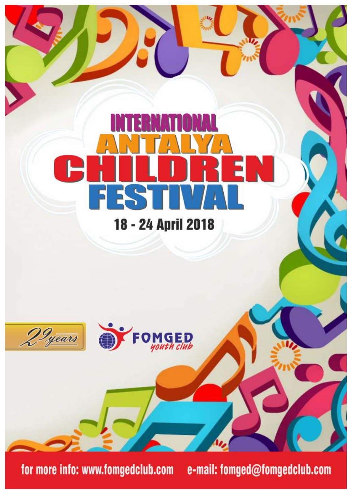

for more info: www.fomgedclub.com

e-mail: fomged@fomgedclub.com